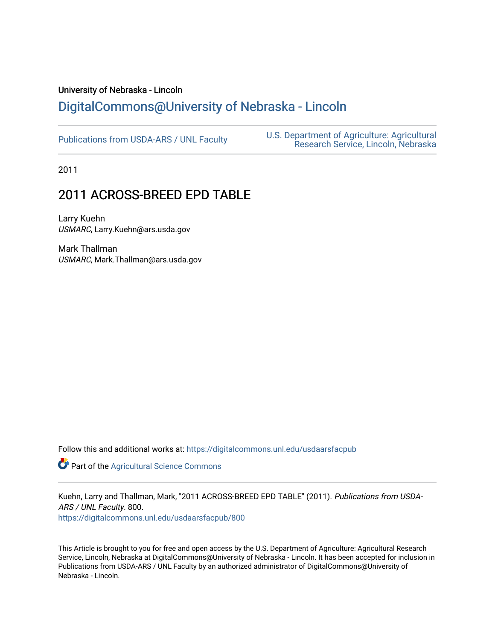## University of Nebraska - Lincoln [DigitalCommons@University of Nebraska - Lincoln](https://digitalcommons.unl.edu/)

[Publications from USDA-ARS / UNL Faculty](https://digitalcommons.unl.edu/usdaarsfacpub) [U.S. Department of Agriculture: Agricultural](https://digitalcommons.unl.edu/usdaars)  [Research Service, Lincoln, Nebraska](https://digitalcommons.unl.edu/usdaars) 

2011

# 2011 ACROSS-BREED EPD TABLE

Larry Kuehn USMARC, Larry.Kuehn@ars.usda.gov

Mark Thallman USMARC, Mark.Thallman@ars.usda.gov

Follow this and additional works at: [https://digitalcommons.unl.edu/usdaarsfacpub](https://digitalcommons.unl.edu/usdaarsfacpub?utm_source=digitalcommons.unl.edu%2Fusdaarsfacpub%2F800&utm_medium=PDF&utm_campaign=PDFCoverPages)

Part of the [Agricultural Science Commons](http://network.bepress.com/hgg/discipline/1063?utm_source=digitalcommons.unl.edu%2Fusdaarsfacpub%2F800&utm_medium=PDF&utm_campaign=PDFCoverPages)

Kuehn, Larry and Thallman, Mark, "2011 ACROSS-BREED EPD TABLE" (2011). Publications from USDA-ARS / UNL Faculty. 800.

[https://digitalcommons.unl.edu/usdaarsfacpub/800](https://digitalcommons.unl.edu/usdaarsfacpub/800?utm_source=digitalcommons.unl.edu%2Fusdaarsfacpub%2F800&utm_medium=PDF&utm_campaign=PDFCoverPages)

This Article is brought to you for free and open access by the U.S. Department of Agriculture: Agricultural Research Service, Lincoln, Nebraska at DigitalCommons@University of Nebraska - Lincoln. It has been accepted for inclusion in Publications from USDA-ARS / UNL Faculty by an authorized administrator of DigitalCommons@University of Nebraska - Lincoln.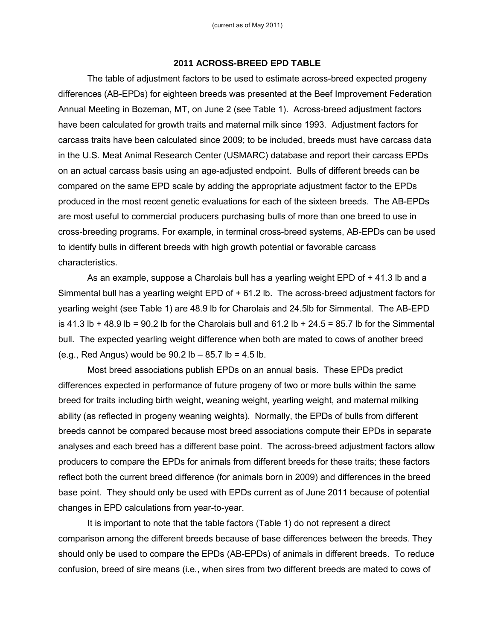#### **2011 ACROSS-BREED EPD TABLE**

The table of adjustment factors to be used to estimate across-breed expected progeny differences (AB-EPDs) for eighteen breeds was presented at the Beef Improvement Federation Annual Meeting in Bozeman, MT, on June 2 (see Table 1). Across-breed adjustment factors have been calculated for growth traits and maternal milk since 1993. Adjustment factors for carcass traits have been calculated since 2009; to be included, breeds must have carcass data in the U.S. Meat Animal Research Center (USMARC) database and report their carcass EPDs on an actual carcass basis using an age-adjusted endpoint. Bulls of different breeds can be compared on the same EPD scale by adding the appropriate adjustment factor to the EPDs produced in the most recent genetic evaluations for each of the sixteen breeds. The AB-EPDs are most useful to commercial producers purchasing bulls of more than one breed to use in cross-breeding programs. For example, in terminal cross-breed systems, AB-EPDs can be used to identify bulls in different breeds with high growth potential or favorable carcass characteristics.

As an example, suppose a Charolais bull has a yearling weight EPD of + 41.3 lb and a Simmental bull has a yearling weight EPD of + 61.2 lb. The across-breed adjustment factors for yearling weight (see Table 1) are 48.9 lb for Charolais and 24.5lb for Simmental. The AB-EPD is 41.3 lb + 48.9 lb = 90.2 lb for the Charolais bull and  $61.2$  lb + 24.5 = 85.7 lb for the Simmental bull. The expected yearling weight difference when both are mated to cows of another breed (e.g., Red Angus) would be  $90.2$  lb  $-85.7$  lb = 4.5 lb.

Most breed associations publish EPDs on an annual basis. These EPDs predict differences expected in performance of future progeny of two or more bulls within the same breed for traits including birth weight, weaning weight, yearling weight, and maternal milking ability (as reflected in progeny weaning weights). Normally, the EPDs of bulls from different breeds cannot be compared because most breed associations compute their EPDs in separate analyses and each breed has a different base point. The across-breed adjustment factors allow producers to compare the EPDs for animals from different breeds for these traits; these factors reflect both the current breed difference (for animals born in 2009) and differences in the breed base point. They should only be used with EPDs current as of June 2011 because of potential changes in EPD calculations from year-to-year.

It is important to note that the table factors (Table 1) do not represent a direct comparison among the different breeds because of base differences between the breeds. They should only be used to compare the EPDs (AB-EPDs) of animals in different breeds. To reduce confusion, breed of sire means (i.e., when sires from two different breeds are mated to cows of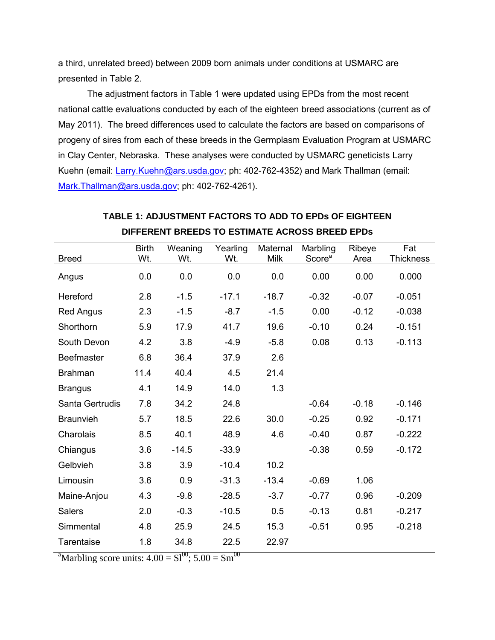a third, unrelated breed) between 2009 born animals under conditions at USMARC are presented in Table 2.

The adjustment factors in Table 1 were updated using EPDs from the most recent national cattle evaluations conducted by each of the eighteen breed associations (current as of May 2011). The breed differences used to calculate the factors are based on comparisons of progeny of sires from each of these breeds in the Germplasm Evaluation Program at USMARC in Clay Center, Nebraska. These analyses were conducted by USMARC geneticists Larry Kuehn (email: [Larry.Kuehn@ars.usda.gov;](mailto:Larry.Kuehn@ars.usda.gov) ph: 402-762-4352) and Mark Thallman (email: [Mark.Thallman@ars.usda.gov;](mailto:Mark.Thallman@ars.usda.gov) ph: 402-762-4261).

| <b>Breed</b>      | <b>Birth</b><br>Wt. | Weaning<br>Wt. | Yearling<br>Wt. | Maternal<br><b>Milk</b> | Marbling<br>Score <sup>a</sup> | Ribeye<br>Area | Fat<br>Thickness |
|-------------------|---------------------|----------------|-----------------|-------------------------|--------------------------------|----------------|------------------|
| Angus             | 0.0                 | 0.0            | 0.0             | 0.0                     | 0.00                           | 0.00           | 0.000            |
| Hereford          | 2.8                 | $-1.5$         | $-17.1$         | $-18.7$                 | $-0.32$                        | $-0.07$        | $-0.051$         |
| <b>Red Angus</b>  | 2.3                 | $-1.5$         | $-8.7$          | $-1.5$                  | 0.00                           | $-0.12$        | $-0.038$         |
| Shorthorn         | 5.9                 | 17.9           | 41.7            | 19.6                    | $-0.10$                        | 0.24           | $-0.151$         |
| South Devon       | 4.2                 | 3.8            | $-4.9$          | $-5.8$                  | 0.08                           | 0.13           | $-0.113$         |
| <b>Beefmaster</b> | 6.8                 | 36.4           | 37.9            | 2.6                     |                                |                |                  |
| <b>Brahman</b>    | 11.4                | 40.4           | 4.5             | 21.4                    |                                |                |                  |
| <b>Brangus</b>    | 4.1                 | 14.9           | 14.0            | 1.3                     |                                |                |                  |
| Santa Gertrudis   | 7.8                 | 34.2           | 24.8            |                         | $-0.64$                        | $-0.18$        | $-0.146$         |
| <b>Braunvieh</b>  | 5.7                 | 18.5           | 22.6            | 30.0                    | $-0.25$                        | 0.92           | $-0.171$         |
| Charolais         | 8.5                 | 40.1           | 48.9            | 4.6                     | $-0.40$                        | 0.87           | $-0.222$         |
| Chiangus          | 3.6                 | $-14.5$        | $-33.9$         |                         | $-0.38$                        | 0.59           | $-0.172$         |
| Gelbvieh          | 3.8                 | 3.9            | $-10.4$         | 10.2                    |                                |                |                  |
| Limousin          | 3.6                 | 0.9            | $-31.3$         | $-13.4$                 | $-0.69$                        | 1.06           |                  |
| Maine-Anjou       | 4.3                 | $-9.8$         | $-28.5$         | $-3.7$                  | $-0.77$                        | 0.96           | $-0.209$         |
| <b>Salers</b>     | 2.0                 | $-0.3$         | $-10.5$         | 0.5                     | $-0.13$                        | 0.81           | $-0.217$         |
| Simmental         | 4.8                 | 25.9           | 24.5            | 15.3                    | $-0.51$                        | 0.95           | $-0.218$         |
| Tarentaise        | 1.8                 | 34.8           | 22.5            | 22.97                   |                                |                |                  |

### **TABLE 1: ADJUSTMENT FACTORS TO ADD TO EPDs OF EIGHTEEN DIFFERENT BREEDS TO ESTIMATE ACROSS BREED EPDs**

<sup>a</sup>Marbling score units:  $4.00 = \text{SI}^{00}$ ;  $5.00 = \text{Sm}^{00}$